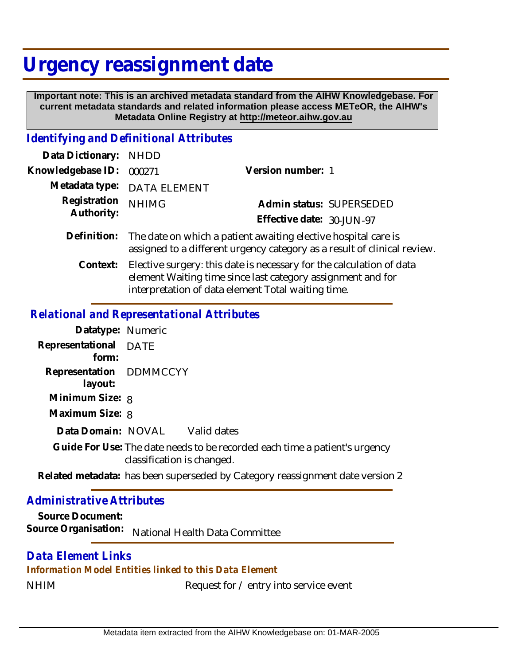# **Urgency reassignment date**

 **Important note: This is an archived metadata standard from the AIHW Knowledgebase. For current metadata standards and related information please access METeOR, the AIHW's Metadata Online Registry at http://meteor.aihw.gov.au**

## *Identifying and Definitional Attributes*

| Data Dictionary: NHDD      |                                                                                                                                            |                           |
|----------------------------|--------------------------------------------------------------------------------------------------------------------------------------------|---------------------------|
| Knowledgebase ID:          | 000271                                                                                                                                     | Version number: 1         |
|                            | Metadata type: DATA ELEMENT                                                                                                                |                           |
| Registration<br>Authority: | <b>NHIMG</b>                                                                                                                               | Admin status: SUPERSEDED  |
|                            |                                                                                                                                            | Effective date: 30-JUN-97 |
| Definition:                | The date on which a patient awaiting elective hospital care is<br>assigned to a different urgency category as a result of clinical review. |                           |
| $C$ ontovt $\cdot$         | Elective curgery this data is pessessive for the selectation of data                                                                       |                           |

Elective surgery: this date is necessary for the calculation of data element Waiting time since last category assignment and for interpretation of data element Total waiting time. **Context:**

### *Relational and Representational Attributes*

| Datatype: Numeric                  |                                                                                                                               |  |
|------------------------------------|-------------------------------------------------------------------------------------------------------------------------------|--|
| Representational DATE<br>form:     |                                                                                                                               |  |
| Representation DDMMCCYY<br>layout: |                                                                                                                               |  |
| Minimum Size: 8                    |                                                                                                                               |  |
| Maximum Size: 8                    |                                                                                                                               |  |
|                                    | Data Domain: NOVAL Valid dates                                                                                                |  |
|                                    | Guide For Use: The date needs to be recorded each time a patient's urgency<br>classification is changed.                      |  |
|                                    | <b>D</b> defined and the contract of the contract of the contract of the contract of the contract of the contract of $\alpha$ |  |

Related metadata: has been superseded by Category reassignment date version 2

## *Administrative Attributes*

**Source Document:** Source Organisation: National Health Data Committee

# *Data Element Links*

#### *Information Model Entities linked to this Data Element*

NHIM Request for / entry into service event